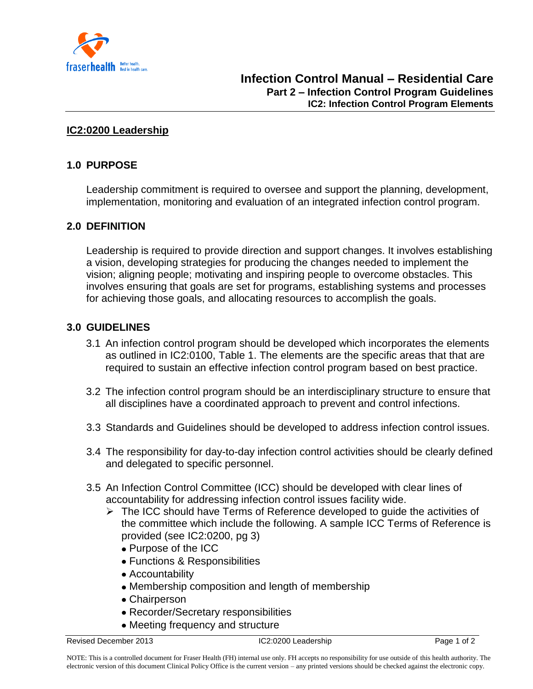

#### **IC2:0200 Leadership**

## **1.0 PURPOSE**

Leadership commitment is required to oversee and support the planning, development, implementation, monitoring and evaluation of an integrated infection control program.

### **2.0 DEFINITION**

Leadership is required to provide direction and support changes. It involves establishing a vision, developing strategies for producing the changes needed to implement the vision; aligning people; motivating and inspiring people to overcome obstacles. This involves ensuring that goals are set for programs, establishing systems and processes for achieving those goals, and allocating resources to accomplish the goals.

#### **3.0 GUIDELINES**

- 3.1 An infection control program should be developed which incorporates the elements as outlined in IC2:0100, Table 1. The elements are the specific areas that that are required to sustain an effective infection control program based on best practice.
- 3.2 The infection control program should be an interdisciplinary structure to ensure that all disciplines have a coordinated approach to prevent and control infections.
- 3.3 Standards and Guidelines should be developed to address infection control issues.
- 3.4 The responsibility for day-to-day infection control activities should be clearly defined and delegated to specific personnel.
- 3.5 An Infection Control Committee (ICC) should be developed with clear lines of accountability for addressing infection control issues facility wide.
	- $\triangleright$  The ICC should have Terms of Reference developed to guide the activities of the committee which include the following. A sample ICC Terms of Reference is provided (see IC2:0200, pg 3)
		- Purpose of the ICC
		- Functions & Responsibilities
		- Accountability
		- Membership composition and length of membership
		- Chairperson
		- Recorder/Secretary responsibilities
		- Meeting frequency and structure

Revised December 2013 **IC2:0200 Leadership** Page 1 of 2